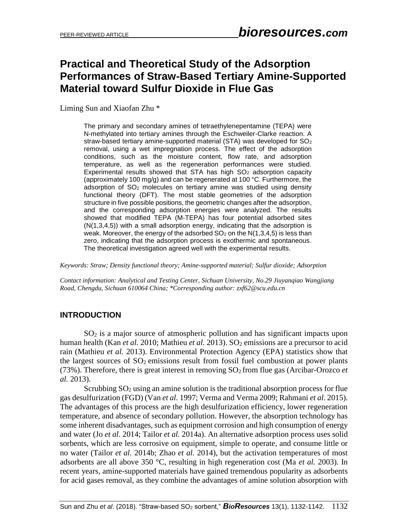# **Practical and Theoretical Study of the Adsorption Performances of Straw-Based Tertiary Amine-Supported Material toward Sulfur Dioxide in Flue Gas**

Liming Sun and Xiaofan Zhu \*

The primary and secondary amines of tetraethylenepentamine (TEPA) were N-methylated into tertiary amines through the Eschweiler-Clarke reaction. A straw-based tertiary amine-supported material (STA) was developed for SO<sub>2</sub> removal, using a wet impregnation process. The effect of the adsorption conditions, such as the moisture content, flow rate, and adsorption temperature, as well as the regeneration performances were studied. Experimental results showed that STA has high  $SO<sub>2</sub>$  adsorption capacity (approximately 100 mg/g) and can be regenerated at 100 °C. Furthermore, the adsorption of  $SO<sub>2</sub>$  molecules on tertiary amine was studied using density functional theory (DFT). The most stable geometries of the adsorption structure in five possible positions, the geometric changes after the adsorption, and the corresponding adsorption energies were analyzed. The results showed that modified TEPA (M-TEPA) has four potential adsorbed sites (N(1,3,4,5)) with a small adsorption energy, indicating that the adsorption is weak. Moreover, the energy of the adsorbed  $SO<sub>2</sub>$  on the N(1,3,4,5) is less than zero, indicating that the adsorption process is exothermic and spontaneous. The theoretical investigation agreed well with the experimental results.

*Keywords: Straw; Density functional theory; Amine-supported material; Sulfur dioxide; Adsorption*

*Contact information: Analytical and Testing Center, Sichuan University, No.29 Jiuyanqiao Wangjiang Road, Chengdu, Sichuan 610064 China; \*Corresponding author: zxf62@scu.edu.cn*

### **INTRODUCTION**

 $SO<sub>2</sub>$  is a major source of atmospheric pollution and has significant impacts upon human health (Kan *et al.* 2010; Mathieu *et al.* 2013). SO<sub>2</sub> emissions are a precursor to acid rain (Mathieu *et al.* 2013). Environmental Protection Agency (EPA) statistics show that the largest sources of  $SO_2$  emissions result from fossil fuel combustion at power plants (73%). Therefore, there is great interest in removing  $SO<sub>2</sub>$  from flue gas (Arcibar-Orozco *et*) *al.* 2013).

Scrubbing  $SO_2$  using an amine solution is the traditional absorption process for flue gas desulfurization (FGD) (Van *et al.* 1997; Verma and Verma 2009; Rahmani *et al*. 2015). The advantages of this process are the high desulfurization efficiency, lower regeneration temperature, and absence of secondary pollution. However, the absorption technology has some inherent disadvantages, such as equipment corrosion and high consumption of energy and water (Jo *et al.* 2014; Tailor *et al.* 2014a). An alternative adsorption process uses solid sorbents, which are less corrosive on equipment, simple to operate, and consume little or no water (Tailor *et al.* 2014b; Zhao *et al.* 2014), but the activation temperatures of most adsorbents are all above 350 °C, resulting in high regeneration cost (Ma *et al.* 2003). In recent years, amine-supported materials have gained tremendous popularity as adsorbents for acid gases removal, as they combine the advantages of amine solution absorption with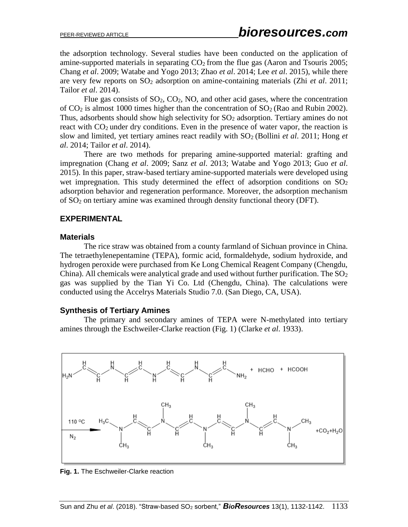the adsorption technology. Several studies have been conducted on the application of amine-supported materials in separating  $CO<sub>2</sub>$  from the flue gas (Aaron and Tsouris 2005; Chang *et al*. 2009; Watabe and Yogo 2013; Zhao *et al*. 2014; Lee *et al*. 2015), while there are very few reports on SO<sup>2</sup> adsorption on amine-containing materials (Zhi *et al*. 2011; Tailor *et al*. 2014).

Flue gas consists of  $SO_2$ ,  $CO_2$ , NO, and other acid gases, where the concentration of  $CO<sub>2</sub>$  is almost 1000 times higher than the concentration of  $SO<sub>2</sub>$  (Rao and Rubin 2002). Thus, adsorbents should show high selectivity for  $SO<sub>2</sub>$  adsorption. Tertiary amines do not react with  $CO<sub>2</sub>$  under dry conditions. Even in the presence of water vapor, the reaction is slow and limited, yet tertiary amines react readily with  $SO<sub>2</sub>$  (Bollini *et al.* 2011; Hong *et al*. 2014; Tailor *et al*. 2014).

There are two methods for preparing amine-supported material: grafting and impregnation (Chang *et al*. 2009; Sanz *et al*. 2013; Watabe and Yogo 2013; Guo *et al*. 2015). In this paper, straw-based tertiary amine-supported materials were developed using wet impregnation. This study determined the effect of adsorption conditions on  $SO_2$ adsorption behavior and regeneration performance. Moreover, the adsorption mechanism of SO<sup>2</sup> on tertiary amine was examined through density functional theory (DFT).

#### **EXPERIMENTAL**

#### **Materials**

The rice straw was obtained from a county farmland of Sichuan province in China. The tetraethylenepentamine (TEPA), formic acid, formaldehyde, sodium hydroxide, and hydrogen peroxide were purchased from Ke Long Chemical Reagent Company (Chengdu, China). All chemicals were analytical grade and used without further purification. The  $SO_2$ gas was supplied by the Tian Yi Co. Ltd (Chengdu, China). The calculations were conducted using the Accelrys Materials Studio 7.0. (San Diego, CA, USA).

#### **Synthesis of Tertiary Amines**

The primary and secondary amines of TEPA were N-methylated into tertiary amines through the Eschweiler-Clarke reaction (Fig. 1) (Clarke *et al*. 1933).



**Fig. 1.** The Eschweiler-Clarke reaction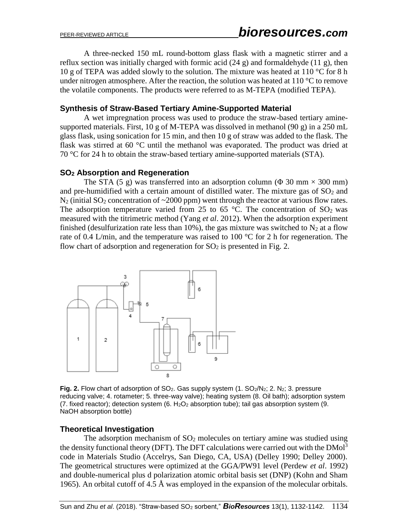A three-necked 150 mL round-bottom glass flask with a magnetic stirrer and a reflux section was initially charged with formic acid (24 g) and formaldehyde (11 g), then 10 g of TEPA was added slowly to the solution. The mixture was heated at 110 °C for 8 h under nitrogen atmosphere. After the reaction, the solution was heated at  $110^{\circ}$ C to remove the volatile components. The products were referred to as M-TEPA (modified TEPA).

#### **Synthesis of Straw-Based Tertiary Amine-Supported Material**

A wet impregnation process was used to produce the straw-based tertiary aminesupported materials. First, 10 g of M-TEPA was dissolved in methanol (90 g) in a 250 mL glass flask, using sonication for 15 min, and then 10 g of straw was added to the flask. The flask was stirred at 60 °C until the methanol was evaporated. The product was dried at 70 °C for 24 h to obtain the straw-based tertiary amine-supported materials (STA).

#### **SO<sup>2</sup> Absorption and Regeneration**

The STA (5 g) was transferred into an adsorption column ( $\Phi$  30 mm  $\times$  300 mm) and pre-humidified with a certain amount of distilled water. The mixture gas of  $SO<sub>2</sub>$  and  $N_2$  (initial SO<sub>2</sub> concentration of  $\sim$ 2000 ppm) went through the reactor at various flow rates. The adsorption temperature varied from 25 to 65  $^{\circ}$ C. The concentration of SO<sub>2</sub> was measured with the titrimetric method (Yang *et al*. 2012). When the adsorption experiment finished (desulfurization rate less than 10%), the gas mixture was switched to  $N_2$  at a flow rate of 0.4 L/min, and the temperature was raised to 100  $^{\circ}$ C for 2 h for regeneration. The flow chart of adsorption and regeneration for  $SO<sub>2</sub>$  is presented in Fig. 2.



**Fig. 2.** Flow chart of adsorption of SO<sub>2</sub>. Gas supply system (1. SO<sub>2</sub>/N<sub>2</sub>; 2. N<sub>2</sub>; 3. pressure reducing valve; 4. rotameter; 5. three-way valve); heating system (8. Oil bath); adsorption system (7. fixed reactor); detection system (6.  $H_2O_2$  absorption tube); tail gas absorption system (9. NaOH absorption bottle)

#### **Theoretical Investigation**

The adsorption mechanism of  $SO<sub>2</sub>$  molecules on tertiary amine was studied using the density functional theory (DFT). The DFT calculations were carried out with the  $DMol<sup>3</sup>$ code in Materials Studio (Accelrys, San Diego, CA, USA) (Delley 1990; Delley 2000). The geometrical structures were optimized at the GGA/PW91 level (Perdew *et al*. 1992) and double-numerical plus d polarization atomic orbital basis set (DNP) (Kohn and Sham 1965). An orbital cutoff of 4.5 Å was employed in the expansion of the molecular orbitals.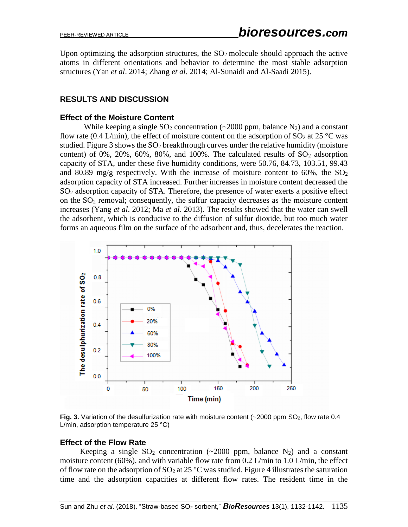Upon optimizing the adsorption structures, the  $SO<sub>2</sub>$  molecule should approach the active atoms in different orientations and behavior to determine the most stable adsorption structures (Yan *et al*. 2014; Zhang *et al*. 2014; Al-Sunaidi and Al-Saadi 2015).

### **RESULTS AND DISCUSSION**

#### **Effect of the Moisture Content**

While keeping a single  $SO_2$  concentration (~2000 ppm, balance N<sub>2</sub>) and a constant flow rate (0.4 L/min), the effect of moisture content on the adsorption of  $SO_2$  at 25 °C was studied. Figure 3 shows the  $SO_2$  breakthrough curves under the relative humidity (moisture content) of 0%, 20%, 60%, 80%, and 100%. The calculated results of  $SO_2$  adsorption capacity of STA, under these five humidity conditions, were 50.76, 84.73, 103.51, 99.43 and 80.89 mg/g respectively. With the increase of moisture content to 60%, the  $SO<sub>2</sub>$ adsorption capacity of STA increased. Further increases in moisture content decreased the SO<sup>2</sup> adsorption capacity of STA. Therefore, the presence of water exerts a positive effect on the SO<sup>2</sup> removal; consequently, the sulfur capacity decreases as the moisture content increases (Yang *et al*. 2012; Ma *et al*. 2013). The results showed that the water can swell the adsorbent, which is conducive to the diffusion of sulfur dioxide, but too much water forms an aqueous film on the surface of the adsorbent and, thus, decelerates the reaction.



Fig. 3. Variation of the desulfurization rate with moisture content (~2000 ppm SO<sub>2</sub>, flow rate 0.4 L/min, adsorption temperature 25 °C)

### **Effect of the Flow Rate**

Keeping a single  $SO_2$  concentration (~2000 ppm, balance N<sub>2</sub>) and a constant moisture content (60%), and with variable flow rate from 0.2 L/min to 1.0 L/min, the effect of flow rate on the adsorption of  $SO_2$  at 25 °C was studied. Figure 4 illustrates the saturation time and the adsorption capacities at different flow rates. The resident time in the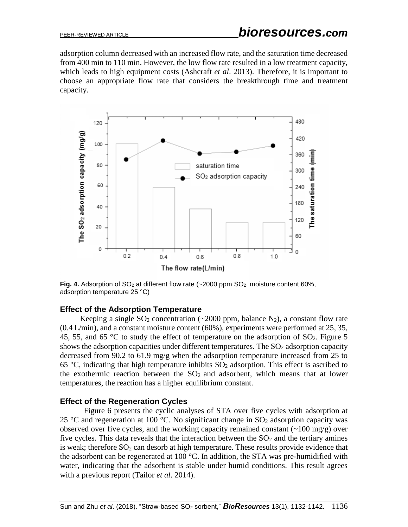adsorption column decreased with an increased flow rate, and the saturation time decreased from 400 min to 110 min. However, the low flow rate resulted in a low treatment capacity, which leads to high equipment costs (Ashcraft *et al*. 2013). Therefore, it is important to choose an appropriate flow rate that considers the breakthrough time and treatment capacity.



**Fig. 4.** Adsorption of  $SO_2$  at different flow rate ( $\sim$ 2000 ppm  $SO_2$ , moisture content 60%, adsorption temperature 25 °C)

#### **Effect of the Adsorption Temperature**

Keeping a single  $SO_2$  concentration (~2000 ppm, balance N<sub>2</sub>), a constant flow rate  $(0.4 \text{ L/min})$ , and a constant moisture content  $(60\%)$ , experiments were performed at 25, 35, 45, 55, and 65  $\degree$ C to study the effect of temperature on the adsorption of SO<sub>2</sub>. Figure 5 shows the adsorption capacities under different temperatures. The  $SO<sub>2</sub>$  adsorption capacity decreased from 90.2 to 61.9 mg/g when the adsorption temperature increased from 25 to 65 °C, indicating that high temperature inhibits  $SO_2$  adsorption. This effect is ascribed to the exothermic reaction between the  $SO<sub>2</sub>$  and adsorbent, which means that at lower temperatures, the reaction has a higher equilibrium constant.

### **Effect of the Regeneration Cycles**

Figure 6 presents the cyclic analyses of STA over five cycles with adsorption at 25 °C and regeneration at 100 °C. No significant change in  $SO_2$  adsorption capacity was observed over five cycles, and the working capacity remained constant  $(2100 \text{ mg/g})$  over five cycles. This data reveals that the interaction between the  $SO<sub>2</sub>$  and the tertiary amines is weak; therefore  $SO_2$  can desorb at high temperature. These results provide evidence that the adsorbent can be regenerated at 100 °C. In addition, the STA was pre-humidified with water, indicating that the adsorbent is stable under humid conditions. This result agrees with a previous report (Tailor *et al*. 2014).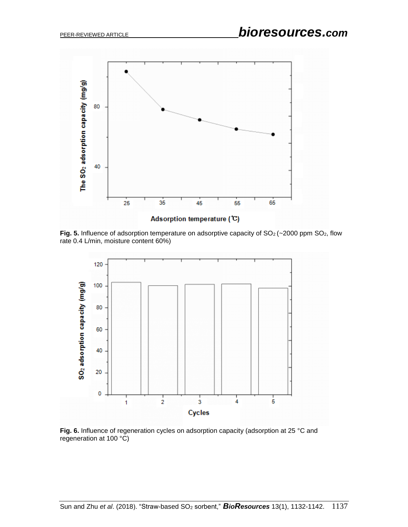

**Fig. 5.** Influence of adsorption temperature on adsorptive capacity of  $SO<sub>2</sub>(\sim 2000$  ppm  $SO<sub>2</sub>$ , flow rate 0.4 L/min, moisture content 60%)



**Fig. 6.** Influence of regeneration cycles on adsorption capacity (adsorption at 25 °C and regeneration at 100 °C)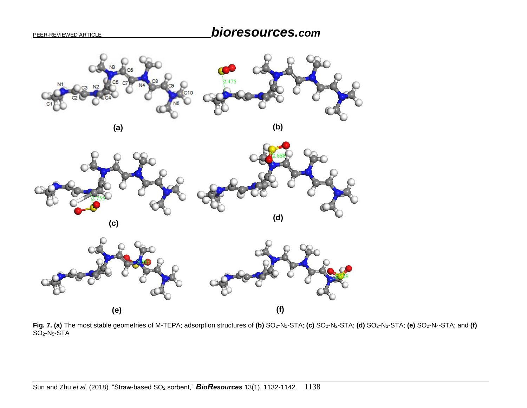



**(c)**



Fig. 7. (a) The most stable geometries of M-TEPA; adsorption structures of (b) SO<sub>2</sub>-N<sub>1</sub>-STA; (c) SO<sub>2</sub>-N<sub>2</sub>-STA; (d) SO<sub>2</sub>-N<sub>3</sub>-STA; (e) SO<sub>2</sub>-N<sub>4</sub>-STA; and (f) SO2-N5-STA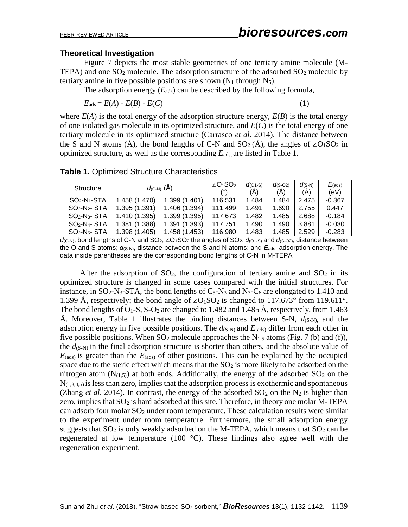#### **Theoretical Investigation**

Figure 7 depicts the most stable geometries of one tertiary amine molecule (M-TEPA) and one  $SO_2$  molecule. The adsorption structure of the adsorbed  $SO_2$  molecule by tertiary amine in five possible positions are shown  $(N_1$  through  $N_5$ ).

The adsorption energy  $(E_{ads})$  can be described by the following formula,

$$
E_{\text{ads}} = E(A) - E(B) - E(C) \tag{1}
$$

where  $E(A)$  is the total energy of the adsorption structure energy,  $E(B)$  is the total energy of one isolated gas molecule in its optimized structure, and *E*(*C*) is the total energy of one tertiary molecule in its optimized structure (Carrasco *et al*. 2014). The distance between the S and N atoms (Å), the bond lengths of C-N and  $SO_2(\AA)$ , the angles of ∠O<sub>1</sub>SO<sub>2</sub> in optimized structure, as well as the corresponding  $E_{ads}$  are listed in Table 1.

| <b>Structure</b> | $d_{(C-N)}(\tilde{A})$ |                  | $\angle$ O <sub>1</sub> SO <sub>2</sub> | $d_{(O1-S)}$<br>(A) | $d$ (S-O <sub>2</sub> )<br>(A) | $d$ (S-N)<br>(A) | $E_{(ads)}$<br>(eV) |
|------------------|------------------------|------------------|-----------------------------------------|---------------------|--------------------------------|------------------|---------------------|
| $SO2-N1-STA$     | 1.458 (1.470)          | 1.399(1.401)     | 116.531                                 | 1.484               | 1.484                          | 2.475            | $-0.367$            |
| $SO2-N2-$ STA    | 1.395 (1.391)          | 1.406 (1.394)    | 111.499                                 | 1.491               | 1.690                          | 2.755            | 0.447               |
| $SO2-N3-$ STA    | 1.410 (1.395)          | 1.399(1.395)     | 117.673                                 | 1.482               | 1.485                          | 2.688            | $-0.184$            |
| $SO2-N4-STA$     | (1.388)<br>1.381.      | (1.393)<br>1.391 | 117.751                                 | 1.490               | 1.490                          | 3.881            | $-0.030$            |
| $SO2-N5-$ STA    | 1.398 (1.405)          | 1.458(1.453)     | 116.980                                 | 1.483               | 1.485                          | 2.529            | $-0.283$            |

**Table 1.** Optimized Structure Characteristics

*d*(<sub>C-N)</sub>, bond lengths of C-N and SO<sub>2</sub>; ∠O<sub>1</sub>SO<sub>2</sub> the angles of SO<sub>2</sub>; *d*<sub>(O1-S)</sub> and *d*<sub>(S-O2)</sub>, distance between the O and S atoms;  $d_{(S-N)}$ , distance between the S and N atoms; and  $E_{ads}$ , adsorption energy. The data inside parentheses are the corresponding bond lengths of C-N in M-TEPA

After the adsorption of  $SO_2$ , the configuration of tertiary amine and  $SO_2$  in its optimized structure is changed in some cases compared with the initial structures. For instance, in  $SO_2$ -N<sub>3</sub>-STA, the bond lengths of  $C_5$ -N<sub>3</sub> and N<sub>3</sub>-C<sub>6</sub> are elongated to 1.410 and 1.399 Å, respectively; the bond angle of ∠O<sub>1</sub>SO<sub>2</sub> is changed to 117.673° from 119.611°. The bond lengths of  $O_1$ -S, S- $O_2$  are changed to 1.482 and 1.485 Å, respectively, from 1.463 Å. Moreover, Table 1 illustrates the binding distances between S-N,  $d_{(S-N)}$  and the adsorption energy in five possible positions. The  $d_{(S-N)}$  and  $E_{(ads)}$  differ from each other in five possible positions. When  $SO_2$  molecule approaches the N<sub>1.5</sub> atoms (Fig. 7 (b) and (f)), the  $d_{(S-N)}$  in the final adsorption structure is shorter than others, and the absolute value of  $E_{(ads)}$  is greater than the  $E_{(ads)}$  of other positions. This can be explained by the occupied space due to the steric effect which means that the  $SO<sub>2</sub>$  is more likely to be adsorbed on the nitrogen atom  $(N_{(1,5)})$  at both ends. Additionally, the energy of the adsorbed  $SO_2$  on the  $N_{(1,3,4,5)}$  is less than zero, implies that the adsorption process is exothermic and spontaneous (Zhang *et al.* 2014). In contrast, the energy of the adsorbed  $SO_2$  on the N<sub>2</sub> is higher than zero, implies that  $SO_2$  is hard adsorbed at this site. Therefore, in theory one molar M-TEPA can adsorb four molar  $SO<sub>2</sub>$  under room temperature. These calculation results were similar to the experiment under room temperature. Furthermore, the small adsorption energy suggests that  $SO_2$  is only weakly adsorbed on the M-TEPA, which means that  $SO_2$  can be regenerated at low temperature (100  $^{\circ}$ C). These findings also agree well with the regeneration experiment.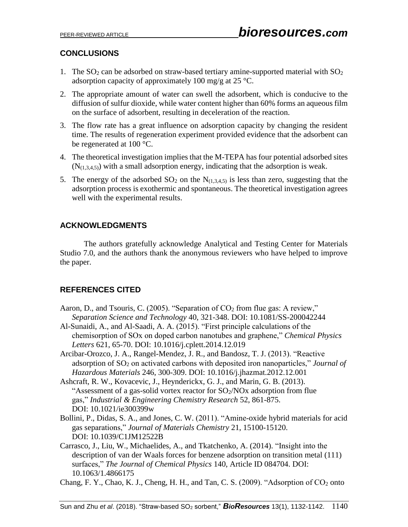# **CONCLUSIONS**

- 1. The  $SO_2$  can be adsorbed on straw-based tertiary amine-supported material with  $SO_2$ adsorption capacity of approximately 100 mg/g at 25 °C.
- 2. The appropriate amount of water can swell the adsorbent, which is conducive to the diffusion of sulfur dioxide, while water content higher than 60% forms an aqueous film on the surface of adsorbent, resulting in deceleration of the reaction.
- 3. The flow rate has a great influence on adsorption capacity by changing the resident time. The results of regeneration experiment provided evidence that the adsorbent can be regenerated at 100 °C.
- 4. The theoretical investigation implies that the M-TEPA has four potential adsorbed sites  $(N<sub>(1,3,4,5)</sub>)$  with a small adsorption energy, indicating that the adsorption is weak.
- 5. The energy of the adsorbed  $SO_2$  on the  $N_{(1,3,4,5)}$  is less than zero, suggesting that the adsorption process is exothermic and spontaneous. The theoretical investigation agrees well with the experimental results.

# **ACKNOWLEDGMENTS**

The authors gratefully acknowledge Analytical and Testing Center for Materials Studio 7.0, and the authors thank the anonymous reviewers who have helped to improve the paper.

# **REFERENCES CITED**

- Aaron, D., and Tsouris, C. (2005). "Separation of  $CO<sub>2</sub>$  from flue gas: A review," *Separation Science and Technology* 40, 321-348. DOI: 10.1081/SS-200042244
- Al-Sunaidi, A., and Al-Saadi, A. A. (2015). "First principle calculations of the chemisorption of SOx on doped carbon nanotubes and graphene," *Chemical Physics Letters* 621, 65-70. DOI: [10.1016/j.cplett.2014.12.019](https://doi.org/10.1016/j.cplett.2014.12.019)
- Arcibar-Orozco, J. A., Rangel-Mendez, J. R., and Bandosz, T. J. (2013). "Reactive adsorption of SO<sup>2</sup> on activated carbons with deposited iron nanoparticles," *Journal of Hazardous Materials* 246, 300-309. DOI: 10.1016/j.jhazmat.2012.12.001
- Ashcraft, R. W., Kovacevic, J., Heynderickx, G. J., and Marin, G. B. (2013). "Assessment of a gas-solid vortex reactor for  $SO_2/NOx$  adsorption from flue gas," *Industrial & Engineering Chemistry Research* 52, 861-875. DOI: 10.1021/ie300399w
- Bollini, P., Didas, S. A., and Jones, C. W. (2011). "Amine-oxide hybrid materials for acid gas separations," *Journal of Materials Chemistry* 21, 15100-15120. DOI: 10.1039/C1JM12522B
- Carrasco, J., Liu, W., Michaelides, A., and Tkatchenko, A. (2014). "Insight into the description of van der Waals forces for benzene adsorption on transition metal (111) surfaces," *The Journal of Chemical Physics* 140, Article ID 084704. DOI: [10.1063/1.4866175](http://dx.doi.org/10.1063/1.4866175)
- Chang, F. Y., Chao, K. J., Cheng, H. H., and Tan, C. S. (2009). "Adsorption of  $CO<sub>2</sub>$  onto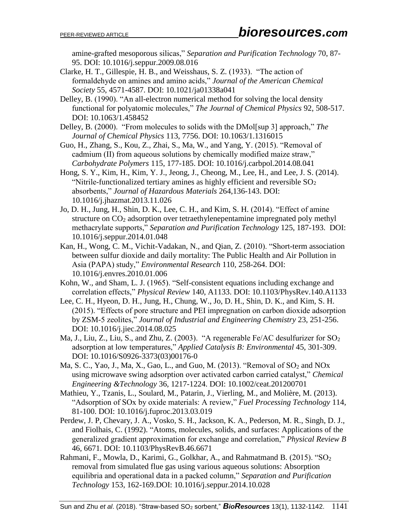amine-grafted mesoporous silicas," *Separation and Purification Technology* 70, 87- 95. DOI: 10.1016/j.seppur.2009.08.016

- Clarke, H. T., Gillespie, H. B., and Weisshaus, S. Z. (1933). "The action of formaldehyde on amines and amino acids," *Journal of the American Chemical Society* 55, 4571-4587. DOI: 10.1021/ja01338a041
- Delley, B. (1990). "An all-electron numerical method for solving the local density functional for polyatomic molecules," *The Journal of Chemical Physics* 92, 508-517. DOI: [10.1063/1.458452](http://dx.doi.org/10.1063/1.458452)
- Delley, B. (2000). "From molecules to solids with the DMol[sup 3] approach," *The Journal of Chemical Physics* 113, 7756. DOI: [10.1063/1.1316015](http://dx.doi.org/10.1063/1.1316015)
- Guo, H., Zhang, S., Kou, Z., Zhai, S., Ma, W., and Yang, Y. (2015). "Removal of cadmium (II) from aqueous solutions by chemically modified maize straw," *Carbohydrate Polymers* 115, 177-185. DOI: [10.1016/j.carbpol.2014.08.041](https://doi.org/10.1016/j.carbpol.2014.08.041)
- Hong, S. Y., Kim, H., Kim, Y. J., Jeong, J., Cheong, M., Lee, H., and Lee, J. S. (2014). "Nitrile-functionalized tertiary amines as highly efficient and reversible  $SO<sub>2</sub>$ absorbents," *Journal of Hazardous Materials* 264,136-143. DOI: [10.1016/j.jhazmat.2013.11.026](https://doi.org/10.1016/j.jhazmat.2013.11.026)
- Jo, D. H., Jung, H., Shin, D. K., Lee, C. H., and Kim, S. H. (2014). "Effect of amine structure on CO<sup>2</sup> adsorption over tetraethylenepentamine impregnated poly methyl methacrylate supports," *Separation and Purification Technology* 125, 187-193. DOI: 10.1016/j.seppur.2014.01.048
- Kan, H., Wong, C. M., Vichit-Vadakan, N., and Qian, Z. (2010). "Short-term association between sulfur dioxide and daily mortality: The Public Health and Air Pollution in Asia (PAPA) study," *Environmental Research* 110, 258-264. DOI: 10.1016/j.envres.2010.01.006
- Kohn, W., and Sham, L. J. (1965). "Self-consistent equations including exchange and correlation effects," *Physical Review* 140, A1133. DOI: 10.1103/PhysRev.140.A1133
- Lee, C. H., Hyeon, D. H., Jung, H., Chung, W., Jo, D. H., Shin, D. K., and Kim, S. H. (2015). "Effects of pore structure and PEI impregnation on carbon dioxide adsorption by ZSM-5 zeolites," *Journal of Industrial and Engineering Chemistry* 23, 251-256. DOI: 10.1016/j.jiec.2014.08.025
- Ma, J., Liu, Z., Liu, S., and Zhu, Z. (2003). "A regenerable Fe/AC desulfurizer for  $SO_2$ adsorption at low temperatures," *Applied Catalysis B: Environmental* 45, 301-309. DOI: [10.1016/S0926-3373\(03\)00176-0](https://doi.org/10.1016/S0926-3373(03)00176-0)
- Ma, S. C., Yao, J., Ma, X., Gao, L., and Guo, M. (2013). "Removal of  $SO_2$  and  $NOx$ using microwave swing adsorption over activated carbon carried catalyst," *Chemical Engineering &Technology* 36, 1217-1224. DOI: 10.1002/ceat.201200701
- Mathieu, Y., Tzanis, L., Soulard, M., Patarin, J., Vierling, M., and Molière, M. (2013). "Adsorption of SOx by oxide materials: A review," *Fuel Processing Technology* 114, 81-100. DOI: 10.1016/j.fuproc.2013.03.019
- Perdew, J. P, Chevary, J. A., Vosko, S. H., Jackson, K. A., Pederson, M. R., Singh, D. J., and Fiolhais, C. (1992). "Atoms, molecules, solids, and surfaces: Applications of the generalized gradient approximation for exchange and correlation," *Physical Review B*  46, 6671. DOI: 10.1103/PhysRevB.46.6671
- Rahmani, F., Mowla, D., Karimi, G., Golkhar, A., and Rahmatmand B. (2015). "SO<sub>2</sub> removal from simulated flue gas using various aqueous solutions: Absorption equilibria and operational data in a packed column," *Separation and Purification Technology* 153, 162-169.DOI: 10.1016/j.seppur.2014.10.028